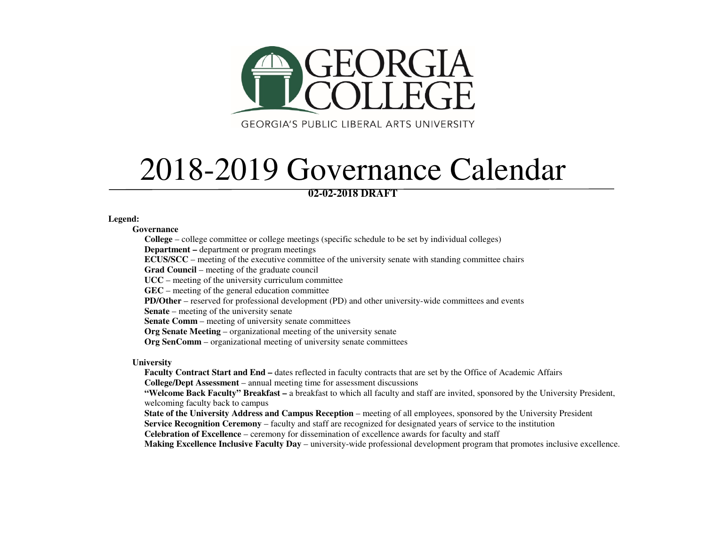

2018-2019 Governance Calendar

## **02-02-2018 DRAFT**

## **Legend:**

**Governance** 

**College** – college committee or college meetings (specific schedule to be set by individual colleges)

**Department –** department or program meetings

**ECUS/SCC** – meeting of the executive committee of the university senate with standing committee chairs

**Grad Council** – meeting of the graduate council

**UCC** – meeting of the university curriculum committee

**GEC** – meeting of the general education committee

**PD/Other** – reserved for professional development (PD) and other university-wide committees and events

**Senate** – meeting of the university senate

**Senate Comm** – meeting of university senate committees

**Org Senate Meeting** – organizational meeting of the university senate

**Org SenComm** – organizational meeting of university senate committees

**University** 

 **Faculty Contract Start and End –** dates reflected in faculty contracts that are set by the Office of Academic Affairs **College/Dept Assessment** – annual meeting time for assessment discussions

 **"Welcome Back Faculty" Breakfast –** a breakfast to which all faculty and staff are invited, sponsored by the University President, welcoming faculty back to campus

 **State of the University Address and Campus Reception** – meeting of all employees, sponsored by the University President **Service Recognition Ceremony** – faculty and staff are recognized for designated years of service to the institution

**Celebration of Excellence** – ceremony for dissemination of excellence awards for faculty and staff

**Making Excellence Inclusive Faculty Day** – university-wide professional development program that promotes inclusive excellence.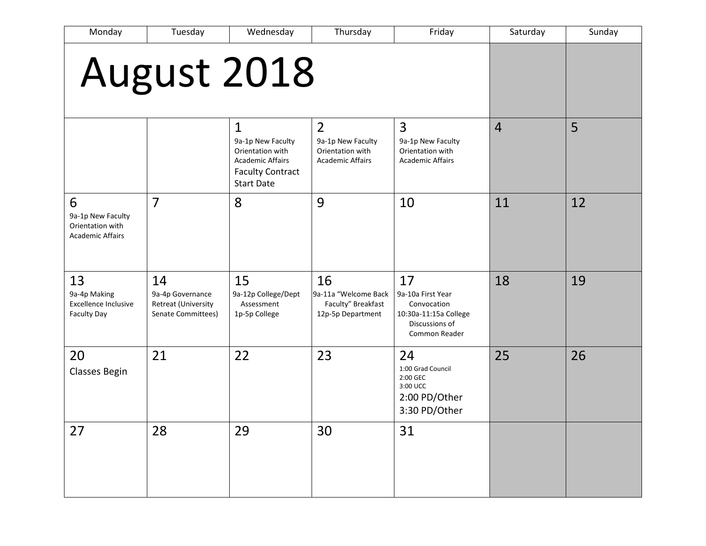| Monday                                                                | Tuesday                                                             | Wednesday                                                                                                                        | Thursday                                                                           | Friday                                                                                             | Saturday       | Sunday |
|-----------------------------------------------------------------------|---------------------------------------------------------------------|----------------------------------------------------------------------------------------------------------------------------------|------------------------------------------------------------------------------------|----------------------------------------------------------------------------------------------------|----------------|--------|
| August 2018                                                           |                                                                     |                                                                                                                                  |                                                                                    |                                                                                                    |                |        |
|                                                                       |                                                                     | $\mathbf{1}$<br>9a-1p New Faculty<br>Orientation with<br><b>Academic Affairs</b><br><b>Faculty Contract</b><br><b>Start Date</b> | $\overline{2}$<br>9a-1p New Faculty<br>Orientation with<br><b>Academic Affairs</b> | 3<br>9a-1p New Faculty<br>Orientation with<br><b>Academic Affairs</b>                              | $\overline{4}$ | 5      |
| 6<br>9a-1p New Faculty<br>Orientation with<br><b>Academic Affairs</b> | $\overline{7}$                                                      | 8                                                                                                                                | 9                                                                                  | 10                                                                                                 | 11             | 12     |
| 13<br>9a-4p Making<br>Excellence Inclusive<br><b>Faculty Day</b>      | 14<br>9a-4p Governance<br>Retreat (University<br>Senate Committees) | 15<br>9a-12p College/Dept<br>Assessment<br>1p-5p College                                                                         | 16<br>9a-11a "Welcome Back<br>Faculty" Breakfast<br>12p-5p Department              | 17<br>9a-10a First Year<br>Convocation<br>10:30a-11:15a College<br>Discussions of<br>Common Reader | 18             | 19     |
| 20<br>Classes Begin                                                   | 21                                                                  | 22                                                                                                                               | 23                                                                                 | 24<br>1:00 Grad Council<br>2:00 GEC<br>3:00 UCC<br>2:00 PD/Other<br>3:30 PD/Other                  | 25             | 26     |
| 27                                                                    | 28                                                                  | 29                                                                                                                               | 30                                                                                 | 31                                                                                                 |                |        |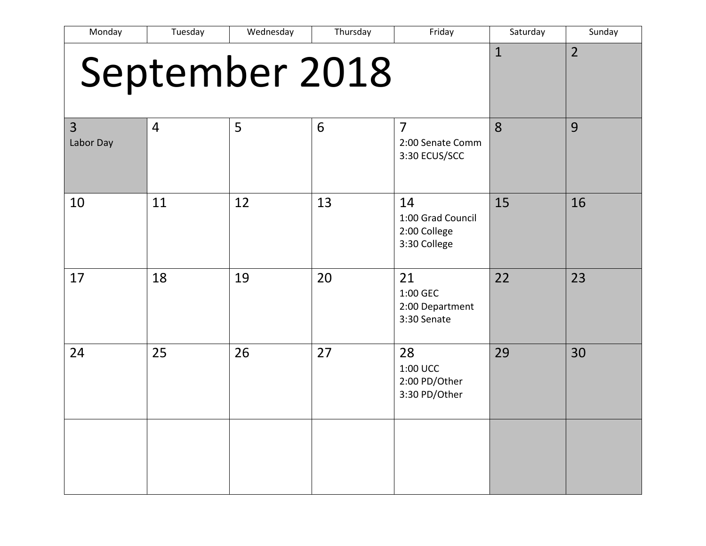| Monday         | Tuesday        | Wednesday | Thursday       | Friday                                                  | Saturday     | Sunday         |
|----------------|----------------|-----------|----------------|---------------------------------------------------------|--------------|----------------|
|                |                |           | September 2018 |                                                         | $\mathbf{1}$ | $\overline{2}$ |
| 3<br>Labor Day | $\overline{4}$ | 5         | 6              | $\overline{7}$<br>2:00 Senate Comm<br>3:30 ECUS/SCC     | 8            | 9              |
| 10             | 11             | 12        | 13             | 14<br>1:00 Grad Council<br>2:00 College<br>3:30 College | 15           | 16             |
| 17             | 18             | 19        | 20             | 21<br>1:00 GEC<br>2:00 Department<br>3:30 Senate        | 22           | 23             |
| 24             | 25             | 26        | 27             | 28<br>1:00 UCC<br>2:00 PD/Other<br>3:30 PD/Other        | 29           | 30             |
|                |                |           |                |                                                         |              |                |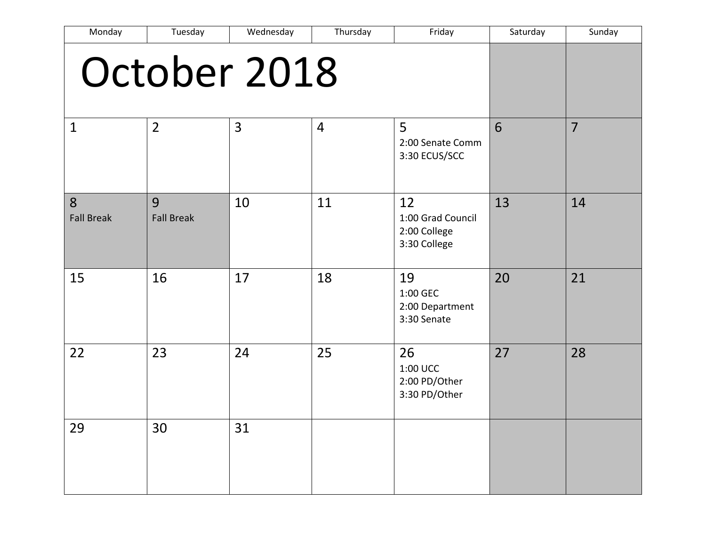| Monday                 | Tuesday                | Wednesday      | Thursday       | Friday                                                  | Saturday | Sunday         |
|------------------------|------------------------|----------------|----------------|---------------------------------------------------------|----------|----------------|
|                        |                        | October 2018   |                |                                                         |          |                |
| $\mathbf{1}$           | $\overline{2}$         | $\overline{3}$ | $\overline{4}$ | 5<br>2:00 Senate Comm<br>3:30 ECUS/SCC                  | 6        | $\overline{7}$ |
| 8<br><b>Fall Break</b> | 9<br><b>Fall Break</b> | 10             | 11             | 12<br>1:00 Grad Council<br>2:00 College<br>3:30 College | 13       | 14             |
| 15                     | 16                     | 17             | 18             | 19<br>1:00 GEC<br>2:00 Department<br>3:30 Senate        | 20       | 21             |
| 22                     | 23                     | 24             | 25             | 26<br>1:00 UCC<br>2:00 PD/Other<br>3:30 PD/Other        | 27       | 28             |
| 29                     | 30                     | 31             |                |                                                         |          |                |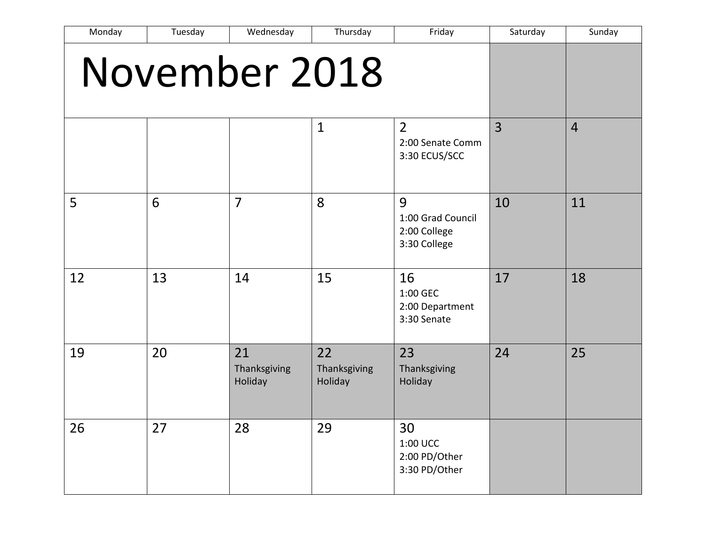| Monday        | Tuesday | Wednesday                     | Thursday                      | Friday                                                 | Saturday       | Sunday         |
|---------------|---------|-------------------------------|-------------------------------|--------------------------------------------------------|----------------|----------------|
| November 2018 |         |                               |                               |                                                        |                |                |
|               |         |                               | $\mathbf{1}$                  | $\overline{2}$<br>2:00 Senate Comm<br>3:30 ECUS/SCC    | $\overline{3}$ | $\overline{4}$ |
| 5             | 6       | $\overline{7}$                | 8                             | 9<br>1:00 Grad Council<br>2:00 College<br>3:30 College | 10             | 11             |
| 12            | 13      | 14                            | 15                            | 16<br>1:00 GEC<br>2:00 Department<br>3:30 Senate       | 17             | 18             |
| 19            | 20      | 21<br>Thanksgiving<br>Holiday | 22<br>Thanksgiving<br>Holiday | 23<br>Thanksgiving<br>Holiday                          | 24             | 25             |
| 26            | 27      | 28                            | 29                            | 30<br>1:00 UCC<br>2:00 PD/Other<br>3:30 PD/Other       |                |                |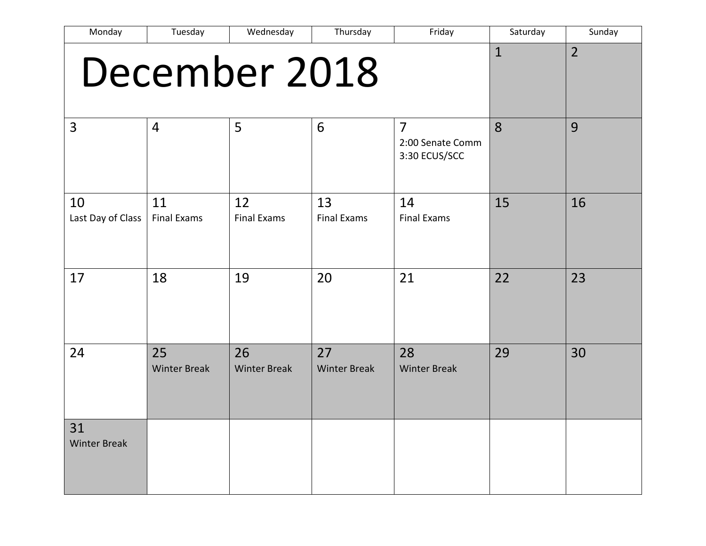| Monday                    | Tuesday                   | Wednesday                 | Thursday                  | Friday                                              | Saturday     | Sunday         |
|---------------------------|---------------------------|---------------------------|---------------------------|-----------------------------------------------------|--------------|----------------|
|                           |                           | December 2018             |                           |                                                     | $\mathbf{1}$ | $\overline{2}$ |
| 3                         | $\overline{4}$            | 5                         | 6                         | $\overline{7}$<br>2:00 Senate Comm<br>3:30 ECUS/SCC | 8            | 9              |
| 10<br>Last Day of Class   | 11<br><b>Final Exams</b>  | 12<br><b>Final Exams</b>  | 13<br><b>Final Exams</b>  | 14<br><b>Final Exams</b>                            | 15           | 16             |
| 17                        | 18                        | 19                        | 20                        | 21                                                  | 22           | 23             |
| 24                        | 25<br><b>Winter Break</b> | 26<br><b>Winter Break</b> | 27<br><b>Winter Break</b> | 28<br><b>Winter Break</b>                           | 29           | 30             |
| 31<br><b>Winter Break</b> |                           |                           |                           |                                                     |              |                |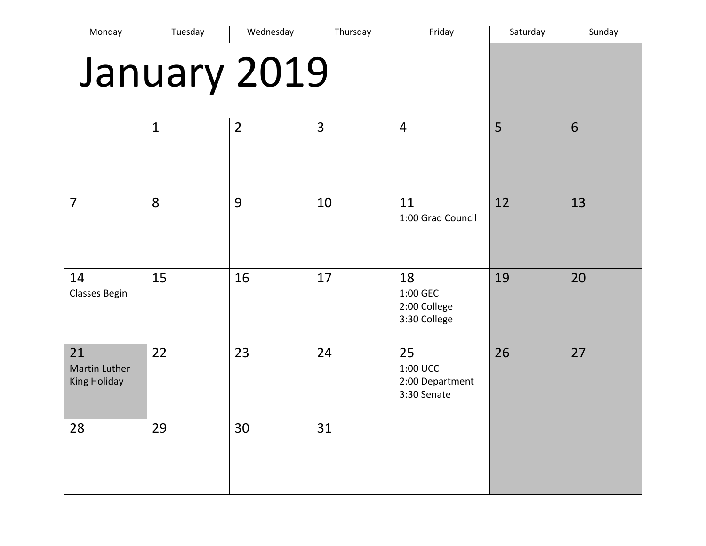| Monday                                            | Tuesday      | Wednesday      | Thursday | Friday                                           | Saturday | Sunday |
|---------------------------------------------------|--------------|----------------|----------|--------------------------------------------------|----------|--------|
| January 2019                                      |              |                |          |                                                  |          |        |
|                                                   | $\mathbf{1}$ | $\overline{2}$ | 3        | $\overline{4}$                                   | 5        | 6      |
| $\overline{7}$                                    | 8            | 9              | 10       | 11<br>1:00 Grad Council                          | 12       | 13     |
| 14<br>Classes Begin                               | 15           | 16             | 17       | 18<br>1:00 GEC<br>2:00 College<br>3:30 College   | 19       | 20     |
| 21<br><b>Martin Luther</b><br><b>King Holiday</b> | 22           | 23             | 24       | 25<br>1:00 UCC<br>2:00 Department<br>3:30 Senate | 26       | 27     |
| 28                                                | 29           | 30             | 31       |                                                  |          |        |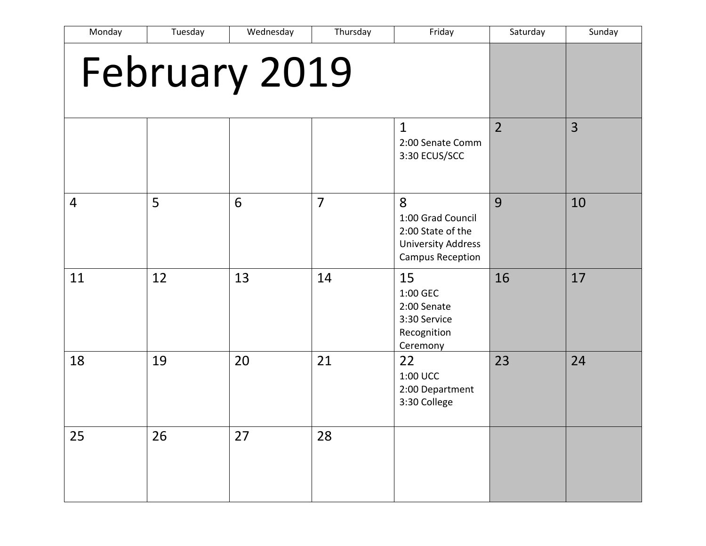| Monday         | Tuesday | Wednesday     | Thursday       | Friday                                                                                       | Saturday       | Sunday |
|----------------|---------|---------------|----------------|----------------------------------------------------------------------------------------------|----------------|--------|
|                |         | February 2019 |                |                                                                                              |                |        |
|                |         |               |                | $\mathbf{1}$<br>2:00 Senate Comm<br>3:30 ECUS/SCC                                            | $\overline{2}$ | 3      |
| $\overline{4}$ | 5       | 6             | $\overline{7}$ | 8<br>1:00 Grad Council<br>2:00 State of the<br><b>University Address</b><br>Campus Reception | 9              | 10     |
| 11             | 12      | 13            | 14             | 15<br>1:00 GEC<br>2:00 Senate<br>3:30 Service<br>Recognition<br>Ceremony                     | 16             | 17     |
| 18             | 19      | 20            | 21             | 22<br>1:00 UCC<br>2:00 Department<br>3:30 College                                            | 23             | 24     |
| 25             | 26      | 27            | 28             |                                                                                              |                |        |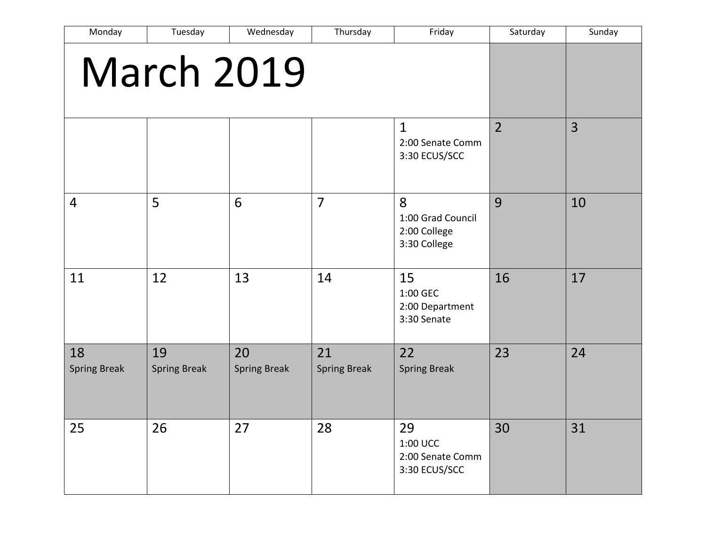| Monday                    | Tuesday                   | Wednesday                 | Thursday                  | Friday                                                 | Saturday       | Sunday |
|---------------------------|---------------------------|---------------------------|---------------------------|--------------------------------------------------------|----------------|--------|
| <b>March 2019</b>         |                           |                           |                           |                                                        |                |        |
|                           |                           |                           |                           | $\mathbf{1}$<br>2:00 Senate Comm<br>3:30 ECUS/SCC      | $\overline{2}$ | 3      |
| $\overline{4}$            | 5                         | 6                         | $\overline{7}$            | 8<br>1:00 Grad Council<br>2:00 College<br>3:30 College | 9              | 10     |
| 11                        | 12                        | 13                        | 14                        | 15<br>1:00 GEC<br>2:00 Department<br>3:30 Senate       | 16             | 17     |
| 18<br><b>Spring Break</b> | 19<br><b>Spring Break</b> | 20<br><b>Spring Break</b> | 21<br><b>Spring Break</b> | 22<br><b>Spring Break</b>                              | 23             | 24     |
| 25                        | 26                        | 27                        | 28                        | 29<br>1:00 UCC<br>2:00 Senate Comm<br>3:30 ECUS/SCC    | 30             | 31     |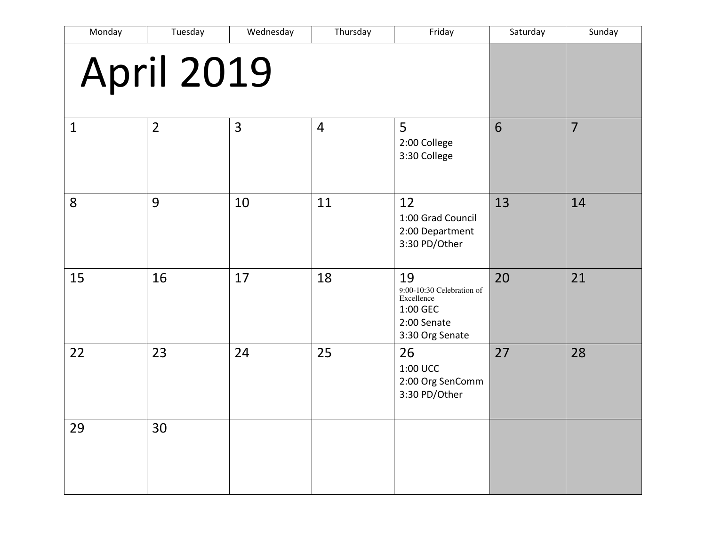| Monday       | Tuesday           | Wednesday | Thursday       | Friday                                                                                      | Saturday | Sunday         |
|--------------|-------------------|-----------|----------------|---------------------------------------------------------------------------------------------|----------|----------------|
|              | <b>April 2019</b> |           |                |                                                                                             |          |                |
| $\mathbf{1}$ | $\overline{2}$    | 3         | $\overline{4}$ | 5<br>2:00 College<br>3:30 College                                                           | 6        | $\overline{7}$ |
| 8            | 9                 | 10        | 11             | 12<br>1:00 Grad Council<br>2:00 Department<br>3:30 PD/Other                                 | 13       | 14             |
| 15           | 16                | 17        | 18             | 19<br>9:00-10:30 Celebration of<br>Excellence<br>1:00 GEC<br>2:00 Senate<br>3:30 Org Senate | 20       | 21             |
| 22           | 23                | 24        | 25             | 26<br>1:00 UCC<br>2:00 Org SenComm<br>3:30 PD/Other                                         | 27       | 28             |
| 29           | 30                |           |                |                                                                                             |          |                |